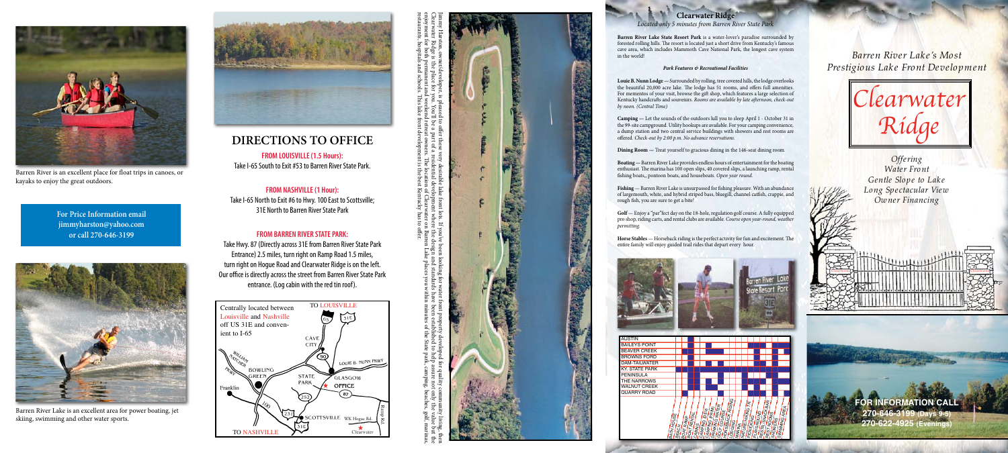

*Prestigious Lake Front Development*

# **FOR INFORMATION CALL 270-646-3199 (Days 9-5)**

## *Offering Water Front Gentle Slo pe to Lake Long Spectacular View Owner Financing*



skiing, swimming and other water sports.





Barren River is an excellent place for float trips in canoes, or kayaks to enjoy the great outdoors.

**For Price Information email jimmyharston@yahoo.com or call 270-646-3199**

# **DIRECTIONS TO OFFICE**

**FROM LOUISVILLE (1.5 Hours):** Take I-65 South to Exit #53 to Barren River State Park.

**FROM NASHVILLE (1 Hour):** Take I-65 North to Exit #6 to Hwy. 100 East to Scottsville; 31E North to Barren River State Park

## **FROM BARREN RIVER STATE PARK:**

Take Hwy. 87 (Directly across 31E from Barren River State Park Entrance) 2.5 miles, turn right on Ramp Road 1.5 miles, turn right on Hogue Road and Clearwater Ridge is on the left. Our office is directly across the street from Barren River State Park entrance. (Log cabin with the red tin roof).



### **Clearwater Ridge**

**Fishing** — Barren River Lake is unsurpassed for fishing pleasure. With an abundance of largemouth, white, and hybrid striped bass, bluegill, channel catfish, crappie, and rough fish, you are sure to get a bite!

#### *Located only 5 minutes from Barren River State Park*

**Barren River Lake State Resort Park** is a water-lover's paradise surrounded by forested rolling hills. The resort is located just a short drive from Kentucky's famous cave area, which includes Mammoth Cave National Park, the longest cave system in the world!

#### *Park Features & Recreational Facilities*

**Louie B. Nunn Lodge —** Surrounded by rolling, tree covered hills, the lodge overlooks the beautiful 20,000 acre lake. The lodge has 51 rooms, and offers full amenities. For mementos of your visit, browse the gift shop, which features a large selection of Kentucky handcrafts and souvenirs. *Rooms are available by late afternoon, check-out by noon. (Central Time)*

**Camping —** Let the sounds of the outdoors lull you to sleep April 1 - October 31 in the 99-site campground. Utility hookups are available. For your camping convenience, a dump station and two central service buildings with showers and rest rooms are offered. *Check-out by 2:00 p.m. No advance reservations.*

**Dining Room —** Treat yourself to gracious dining in the 146-seat dining room.

**Boating —** Barren River Lake provides endless hours of entertainment for the boating enthusiast. The marina has 100 open slips, 40 covered slips, a launching ramp, rental fishing boats,, pontoon boats, and houseboats. *Open year round.*

**Golf** — Enjoy a "par"fect day on the 18-hole, regulation golf course. A fully equipped pro shop, riding carts, and rental clubs are available. *Course open year-round, weather permitting.*



**Horse Stables** — Horseback riding is the perfect activity for fun and excitement. The entire family will enjoy guided trail rides that depart every hour.



restaurants, hospitals and schools. This lake front development is the best Kentucky has to offer.